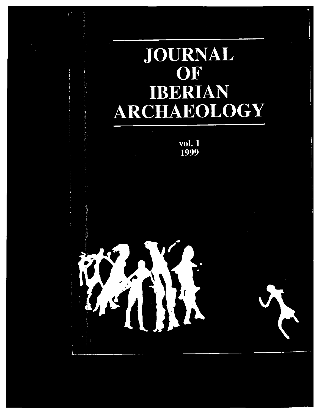# **JOURNAL** OF **IBERIAN** ARCHAEOLOGY

# vol. 1<br>1999

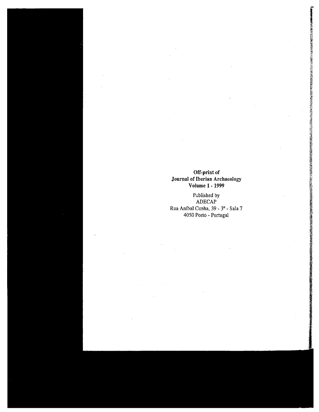## Off-print of Journal of Iberian Archaeology Volume I - 1999

**READERS** 

Published by ADECAP Rua AnIbal Cunha, 39 - <sup>30</sup> - Sala <sup>7</sup> 4050 Porto -Portugal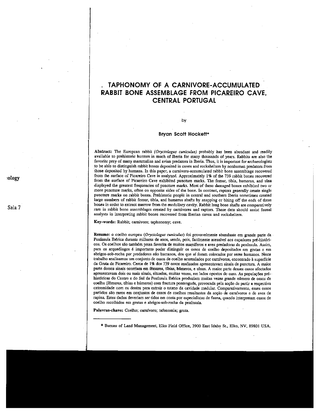## TAPHONOMY OF A CARNIVORE-ACCUMULATED RABBIT BONE ASSEMBLAGE FROM PICAREIRO CAVE, CENTRAL PORTUGAL

by

### Bryan Scoff Hockeff\*

Abstract: The European rabbit (Oryctolagus cuniculus) probably has been abundant and readily available to prehistoric hunters in much of Iberia for many thousands of years. Rabbits are also the favorite prey of many mammalian and avian predators in Iberia. Thus, it is important for archaeologists to be able to distinguish rabbit bones deposited in caves and rockshelters by nonhuman predators from those deposited by humans. In this paper, a carnivore-accumulated rabbit bone assemblage recovered from the surface of Picareiro Cave is analyzed. Approximately 1% of the 739 rabbit bones recovered from the surface of Picareiro Cave exhibited puncture marks. The femur, tibia, humerus, and ulna displayed the greatest frequencies of puncture marks. Most of these damaged bones exhibited two or more puncture marks, often on opposite sides of the bone. In contrast, raptors generally create single puncture marks on rabbit bones. Prehistoric people in central and southern Iberia sometimes created large numbers of rabbit femur, tibia, and humerus shafts by snapping or biting off the ends of these<br>bones in order to extract marrow from the medullary cavity. Rabbit long bone shafts are comparatively Sala 7 rare in rabbit bone assemblages created by carnivores and raptors. These data should assist faunal analysts in interpreting rabbit bones recovered from Iberian caves and rockshelters.

Key-words: Rabbit; carnivore; taphonomy; cave.

Resumo: o coelho europeu (Oryctolagus cuniculus) foi provavelmente abundante em grande parte da -Peninsula Ibérica durante milbares de anos, sendo, pois, facilmente acessivel aos caçadores pré-histôri cos. Os coelhos são tambdm presa favorita de muitos mamiferos e ayes predadoras da peninsula. Assim, pan os arqueólogos e importante poder distinguir os ossos de coelbo depositados em gnitas <sup>e</sup> em abrigos-sob-rocha por predadores não humanos, dos que aí foram colocados por seres humanos. Neste trabalho analisamos um conjunto de ossos de coelho acumulados por carnivoros, encontrado a superficie da Gruta de Picareiro. Cerca de 1% dos 739 ossos analisados apresentavam sinais de punctura. A maior parte desses sinais ocorriam em fémures, tíbias, húmeros, e ulnas. A maior parte desses ossos afectados apresentavam dois ou mais sinais, situados, muitas yeses, em lados opostos do osso. As populaçöes pré históricas do Centro e do Sul da Península Ibérica produziam muitas vezes grande número de ossos de coelho (fémures, tíbias e húmeros) com fractura ponteaguda, provocada pela acção de partir a respectiva extremidade com os dentes para extrair o tutano da cavidade medular. Comparativamente, esses ossos partidos são raros em conjuntos de ossos de coelhos resultantes da acçäo de carnivoros e de ayes de rapina. Estes dados deveriam ser tidos em conta por especialistas de fauna, quando interpretam ossos de coelho recolhidos em gmtas e abrigos-sob-rocha da peninsula.

Palavras-chave: Coelho; carnívoro; tafonomia; gruta.

\* Bureau of Land Management, Elko Field Office, 3900 East Idaho St., Elko, NV, 89801 USA.

:ology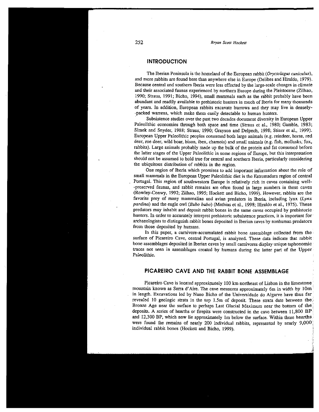## INTRODUCTION

The Iberian Peninsula is the homeland of the European rabbit (Oryctolagus cuniculus), and more rabbits are found here than anywhere else in Europe (Delibes and Hiraldo, 1979). Because central and southern Iberia were less effected by the large-scale changes in climate and their associated faunas experienced by northern Europe during the Pleistocene (Zilhao, 1990; Straus, 1991; Bicho, 1994), small mammals such as the rabbit probably have been abundant and readily available to prehistoric hunters in much of Iberia for many thousands of years. In addition, European rabbits excavate burrows and they may live in densely -packed warrens, which make them easily detectable to human hunters.

Subsistence studies over the past two decades document diversity in European Upper Paleolithic economies through both space and time (Straus et al., 1980; Gamble, 1983; Simek and Snyder, 1988; Straus; 1990; Grayson and Delpech, 1998; Stiner et al., 1999). European Upper Paleolithic peoples consumed both large animals (e.g. reindeer, horse, red deer, roe deer, wild boar, bison, ibex, chamois) and small animals (e.g. fish, mollusks; fox, rabbits). Large animals probably made up the bulk of the protein and fat consumed before the latter stages of the Upper Paleolithic in some regions of Europe, but this interpretation should not be assumed to hold true for central and southern Iberia, particularly considering the ubiquitous distribution of rabbits in the region.

One region of Theria which promises to add important information about the role of small mammals in the European Upper Paleolithic diet is the Estremadura region of central Portugal. This region of southwestern Europe is relatively rich in caves containing well- -preserved faunas, and rabbit remains are often found in large numbers in these caves (Rowley-Conwy, 1992; Zilhao, 1995; Hockett and Bicho, 1999). However, rabbits are the favorite prey of many mammalian and avian predators in Iberia, including lynx (Lynx pardina) and the eagle owl (Bubo bubo) (Mathias et al., 1998; Hiraldo et al., 1975). These predators may inhabit and deposit rabbit bones in the same caves occupied by prehistoric hunters. In order to accurately interpret prehistoric subsistence practices, it is important for archaeologists to distinguish rabbit bones deposited in Iberian caves by nonhuman predators from those deposited by humans.

In this paper, <sup>a</sup> carnivore-accumulated rabbit bone assemblage collected from the surface of Picareiro Cave, central Portugal, is analyzed. These data indicate that rabbit bone assemblages deposited in Iberian caves by small carnivores display unique taphonomic traces not seen in assemblages created by humans during the latter part of the Upper Paleolithic.

## PICAREIRO CAVE AND THE RABBIT BONE ASSEMBLAGE

Picareiro Cave is located approximately 100 km northeast of Lisbon in the limestone mountain known as Serra d'Aire. The cave measures approximately 6m in width by lOm in length. Excavations led by Nuno Bicho of the Universidade do Algarve have thus far revealed <sup>10</sup> geologic strata in the top 1.5m of deposit. These strata date between the Bronze Age near the surface to perhaps Last Glacial Maximum near the bottom of the deposits. A series of hearths or firepits were constructed in the cave between 11,800 BP and 12,300 BP, which now lie approximately lm below the surface. Within these hearths were found the remains of nearly 200 individual rabbits, represented by nearly  $9,000$ : individual rabbit bones (Hockett and Bicho, 1999).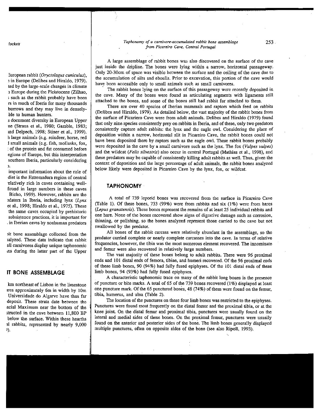fockett

European rabbit (Oryctolagus cuniculus), in Europe (Delibes and Hiraldo, 1979). ted by the large-scale changes in climate Europe during the Pleistocene (Zilhao, such as the rabbit probably have been rs in much of Iberia for many thousands burrows and they may live in densely ble to human hunters.

s document diversity in European Upper ne (Straus et al., 1980; Gamble, 1983; md Delpech, 1998; Stiner et al., 1999). h large animals (e.g. reindeer, horse, red I small animals (e.g. fish, mollusks, fox, of the protein and fat consumed before egions of Europe, but this interpretation southern Iberia, particularly considering  $\mathbf{a}$ 

important information about the role of diet is the Estremadura region of central tlatively rich in caves containing wellfound in large numbers in these caves Bicho, 1999). However, rabbits are the edators in Iberia, including lynx (Lynx et al., 1998; Hiraldo et al., 1975). These the same caves occupied by prehistoric subsistence practices, it is important for - in Iberian caves by nonhuman predators

it bone assemblage collected from the ialyzed. These data indicate that rabbit all carnivores display unique taphonomic ns during the latter part of the Upper

## IT BONE ASSEMBLAGE

km northeast of Lisbon in the limestone ires approximately 6m in width by lOm Universidade do Algarve have thus far deposit. These strata date between the acial Maximum near the bottom of the structed in the cave between 11,800 BP below the surface. Within these hearths al rabbits, represented by nearly 9,000 ŋ.

### Taphonomy of a carnivore-accwnulared rabbit bone assemblage from Picareiro Cave, Central Portugal

A large assemblage of rabbit bones was also discovered on the surface of the cave just inside the dripline. The bones were lying within a narrow, horizontal passageway. Only 20-30cm of space was visible between the surface and the ceiling of the cave due to the accumulation of silts and eboulis. Prior to excavation, this portion of the cave would have been accessible only to small animals such as small carnivores.

The rabbit bones lying on the surface of this passageway were recently deposited in the cave. Many of the bones were found as articulating segments with ligaments still attached to the bones, and some of the bones still had rabbit fur attached to them.

There are over 40 species of Iberian mammals and raptors which feed on rabbits (Delibes and Hiraldo, 1979). As detailed below, the vast majority of the rabbit bones from the surface of Picariero Cave were from adult animals. Delibes and Hiraldo (1979) found that only nine species consistently prey on rabbits in Iberia, and of these, only two predators consistently capture adult rabbits: the lynx and tbe eagle owl. Considering the place of deposition within a narrow, horizontal slit in Picareiro Cave, the rabbit bones could not have been deposited there by raptors such as the eagle owl. These rabbit bones probably were deposited in the cave by a small carnivore such as the lynx. The fox (Vulpes vulpes) and the wildcat (Felis silvestris) also occur in central Portugal (Mathias et al., 1998), and these predators may be capable of consistently killing adult rabbits as well. Thus, given the context of deposition and the large percentage of adult animals, the rabbit bones analyzed below likely were deposited in Picareiro Cave by the lynx, fox, or wildcat.

## TAPHONOMY

A total of 739 leporid bones was recovered from the surface in Picareiro Cave (Table 1). Of these bones, 733 (99%) were from rabbits and six (1%) were from hares (Lepus granatensis). These bones represent the remains of at least 25 individual rabbits and one hare. None of the bones recovered show signs of digestive damage such as corrosion, thinning, or polishing, so the bones analyzed represent those carried to the cave but not swallowed by the predator.

All bones of the rabbit carcass were relatively abundant in the assemblage, so the predator carried complete or nearly complete carcasses into the cave. In terms of relative frequencies, however, the tibia was the most numerous element recovered. The innominate and femur were also recovered in relatively large numbers.

The vast majority of these bones belong to adult rabbits. There were 96 proximal ends and 101 distal ends of femora, tibiae, and humeri recovered. Of the 96 proximal ends of these limb bones, 90 (94%) had fully fused epiphyses. Of the 101 distal ends of these limb bones, 94 (93%) had fully fused epiphyses.

A characteristic taphonomic trace on many of the rabbit long bones is the presence of puncture or bite marks. A total of 65 of the 739 bones recovered (1%) displayed at least one puncture mark. Of the 65 punctured bones, 48 (74%) of them were found on the femur, tibia, humerus, and ulna (Table 2).

The location of the punctures on these four limb bones was restricted to the epiphyses. Punctures were found most frequently on the distal femur and the proximal tibia, or at the knee joint On the distal femur and proximal tibia, punctures were usually found on the lateral and medial sides of these bones. On the proximal femur, punctures were usually found on the anterior and posterior sides of the bone. The limb bones generally displayed multiple punctures, often on opposite sides of the bone (see also Ripoll, 1993).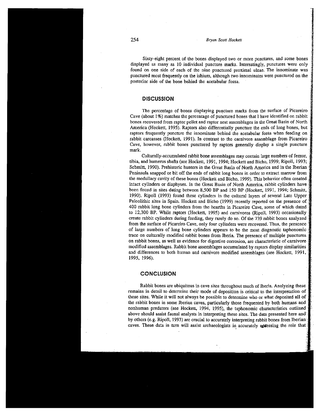#### 254 Bryan Scott Hockett

Sixty-eight percent of the bones displayed two or more punctures, and some bones displayed as many as 10 individual puncture marks. Interestingly, punctures were only found on one side of each of the nine punctured proximal ulnae. The innominate was punctured most frequently on the ishium, although two innominates were punctured on the posterior side of the bone behind the acetabular fossa.

## **DISCUSSION**

The percentage of bones displaying puncture marks from the surface of Picareiro Cave (about 1%) matches the percentage of punctured hones that <sup>I</sup> have identified on rabbit bones recovered from raptor pellet and raptor nest assemblages in the Great Basin of North America (Hockett, 1995). Raptors also differentially puncture the ends of long hones, but raptors frequently puncture the innominate behind the acetabular fossa when feeding on rabbit carcasses (Hockett, 1991). In contrast to the carnivore assemblage from Picareiro Cave, however, rabbit bones punctured by raptors generally display a single puncture mark.

Culturally-accumulated rabbit bone assemblages may contain large numbers of femur, tibia, and humerus shafts (see Hockett, 1991, 1994; Hockett and Bicho, 1999; Ripoll, 1993; Schmitt, 1990). Prehistoric hunters in the Great Basin of North America and in the Iberian Peninsula snapped or bit off the ends of rabbit long bones in order to extract marrow from the medullary cavity of these bones (Hockett and Bicho, 1999). This behavior often created intact cylinders or diaphyses. In the Great Basin of North America, rabbit cylinders have been found in sites dating between 8,500 BP and 150 BP (Hockett, 1991, 1994; Schmitt, 1990). Ripoll (1993) found these cylinders in the cultural layers of several Late Upper Paleolithic sites in Spain. Hockett and Bicho (1999) recently reported on the presence of 400 rabbit long bone cylinders from the hearths in Picareiro Cave, some of which dated to 12,300 BP. While raptors (Hockett, 1995) and carnivores (Ripoll, 1993) occasionally create rabbit cylinders during feeding, they rarely do so. Of the 739 rabbit bones analyzed from the surface of Picareiro Cave, only four cylinders were recovered. Thus, the presence of large numbers of long bone cylinders appears to be the most diagnostic taphonomic trace on culturally modified rabbit bones from Iberia. The presence of multiple punctures on rabbit bones, as well as evidence for digestive corrosion, are characteristic of carnivore modified assemblages. Rabbit bone assemblages accumulated by raptors display similarities and differences to both human and carnivore modified assemblages (see Hockett, 1991, 1995, 1996).

### **CONCLUSION**

Rabbit bones are ubiquitous in cave sites throughout much of Iberia. Analyzing these remains in detail to determine their mode of deposition is critical to the interpretation of these sites. While it will not always be possible to determine who or what deposited all of the rabbit bones in some Iberian caves, particularly those frequented by both humans and nonhuman predators (see Hockett, 1994, 1995), the taphonomic characteristics outlined above should assist faunal analysts in interpreting these sites. The data presented here and by others (e.g. Ripoll, 1993) are crucial to accurately interpreting rabbit bones from Jberian caves. These data in turn will assist archaeologists in accurately accessing the role that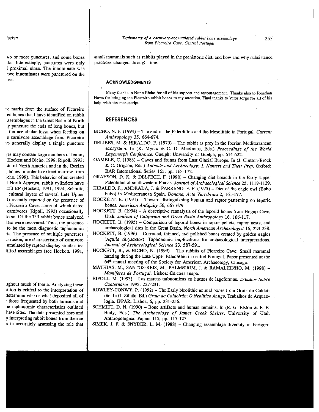'ockett

vo or more punctures, and some bones ks. Interestingly, punctures were only proximal ulnae. The innominate was two innominates were punctured on the assa.

e marks from the surface of Picareiro ed bones that I have identified on rabbit Lssemblages in the Great Basin of North ly puncture the ends of long bones, but the acetabular fossa when feeding on e carnivore assemblage from Picareiro is generally display a single puncture

;es may contaià large numbers of femur, Hockett and Bicho, 1999; Ripoll, 1993; ;in of North America and in the Iberian bones in order to extract marrow from cho, 1999). This behavior often created f North America, rabbit cylinders have 150 BP (Hockett, 1991, 1994; Schmitt, cultural layers of several Late Upper )) recently reported on the presence of Picareiro Cave, some of which dated carnivores (Ripoll, 1993) occasionally lo so. Of the 739 rabbit bones analyzed ters were recovered. Thus, the presence to be the most diagnostic taphonomic ia. The presence of multiple punctures Drrosion, are characteristic of carnivore .umulated by raptors display similarities lified assemblages (see Hockett, 1991,

ighout much of Theria. Analyzing these ition is critical to the interpretation of Jetermine who or what deposited all of those frequented by both humans and ie taphonomic characteristics outlined hese sites. The data presented here and <sup>y</sup> interpreting rabbit bones from Iberian s in accurately accessing the role that

Taphonomy of a carnivore-accumulated rabbit bone assemblage from Picareiro Cave, Central Portugal

small mammals such as rabbits played in the prehistoric diet, and how and why subsistence practices changed through time.

#### ACKNOWLEDGMENTS

Many thanks to Nuno Bicho for all of his support and encouragement. Thanks also to Jonathan Haws for bringing the Picareiro rabbit bones to my attention. Final thanks to Vitor Jorge for all of his help with the manuscript.

## **REFERENCES**

- BICHO, N. F. (1994) The end of the Paleolithic and the Mesolithic in Portugal. Current Anthropology 35, 664-674.
- DELIBES, M. & HIRALDO, F.  $(1979)$  The rabbit as prey in the Iberian Mediterranean ecosystem. In (K. Myers & C. D. Maclnnes, Eds.) Proceedings of the World Lagomorph Conference. Guelph: University of Guelph, pp. 614-622.
- GAMBLE, C. (1983) Caves and faunas from Last Glacial Europe. In (3. Clutton-Brock & C. Grigson, Eds.) Animals and Archaeology: 1. Hunters and Their Prey. Oxford: BAR International Series 163, pp. 163-172.

GRAYSON, D. K. & DELPECH, F. (1998) — Changing diet breadth in the Early Upper Paleolithic of southwestern France. Journal of Archaeological Science 25, 1119-1129.

- HIRALDO, F., ANDRADA, J. & PARRENO, F. F. (1975) Diet of the eagle owl (Bubo bubo) in Mediterranean Spain. Donana, Acta Vertebrata 2, 161-177.
- HOCKETT, B. (1991) Toward distinguishing human and raptor, patterning on leporid bones. American Antiquity 56, 667-679.
- HOCKETT, B. (1994) A descriptive reanalysis of the leporid bones from Hogup Cave, Utah. Journal of California and Great Basin Anthropology 16, 106-117.
- HOCKETT, B. (1995) Comparison of leporid bones in raptor pellets, raptor nests, and archaeological sites in the Great Basin. North American Archaeologist 16, 223-238.
- HOCKETT, B. (1996) Corroded, thinned, ard polished bones created by golden eagles (Aquila chrysaetos): Taphonomic implications for archaeological interpretations. Journal of Archaeological Science 23, 587-591.
- HOCKETT, B., & BICHO, N. (1999) The rabbits of Picareiro Cave: Small mammal hunting during the Late Upper Paleolithic in central Portugal. Paper presented at the  $64<sup>th</sup>$  annual meeting of the Society for American Archaeology, Chicago.
- MATHIAS, M., SANTOS-REIS, M., PALMEIRIM, 3. & RAMALFHNHO, M. (1998) Mamíferos de Portugal. Lisboa: Edicões Inapa.
- RIPOLL, M. (1993) Las marcas tafonomicas en huesos de lagoformos. Estudios Sobre Cuaternario 1993, 227-231.
- ROWLEY-CONWY, P. (1992) The Early NeoJithic animal bones from Gruta do Caldei rão. In (J. Zilhão, Ed.) Gruta do Caldeirão: O Neolítico Antigo, Trabalhos de Arqueologia. IPPAR, Lisboa, 6, pp. 231-256.
- SCHMITT, D. N. (1990) Bone artifacts and human remains. In (R. G. Elston & E. E. Budy, Eds.) The Archaeology of James Creek Shelter. University of Utah Anthropological Papers 115, pp. 117-127.

SIMEK, 3. F. & SNYDER, L. M. (1988) — Changing assemblage diversity in Perigord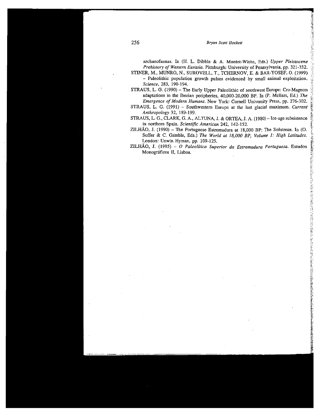## 256 Biyan Seal: Hackett

archaeofaunas. In (H. L. Dibble & A. Montet-White, Eds.) Upper Pleistocene Prehistory of Western Eurasia. Pittsburgh: University of Pennsylvania, pp. 321-332.

STINER, M., MUNRO, N., SUROVELL, T., TCHERNOV, E. & BAR-YOSEF, 0. (1999) — Paleolithic population growth pulses evidenced by small animal exploitation. Science, 283, 190-194.

STRAUS, L. G. (1990) – The Early Upper Paleolithic of southwest Europe: Cro-Magnon adaptations in the Iberian peripheries, 40,000-20,000 BP. In (P. Mellars, Ed.) The Emergence of Modern Humans. New York: Cornell University Press, pp. 276-302.

STRAUS, L. G. (1991) - Southwestern Europe at the last glacial maximum. Current Anthropology 32, 189-199.

STRAUS, L. 0., CLARK, 0. A., ALTUNA, J. & ORTEA, J. A. (1980)—Ice-age subsistence in northern Spain. Scientific American 242, 142-152.

ZILHÃO, J. (1990) - The Portuguese Estremadura at 18,000 BP: The Solutrean. In (O. Soffer & C. Gamble, Eds.) The World at 18,000 BP, Volume 1: High Latitudes. London: Unwin Hyman, pp. 109-125.

ZILHÃO, J. (1995) - O Paleolítico Superior da Estremadura Portuguesa. Estudos Monográficos II, Lisboa.

如女性 苏联群 化硫酸钠医硫酸硫酸盐医硫酸盐酸盐酸盐酸酯